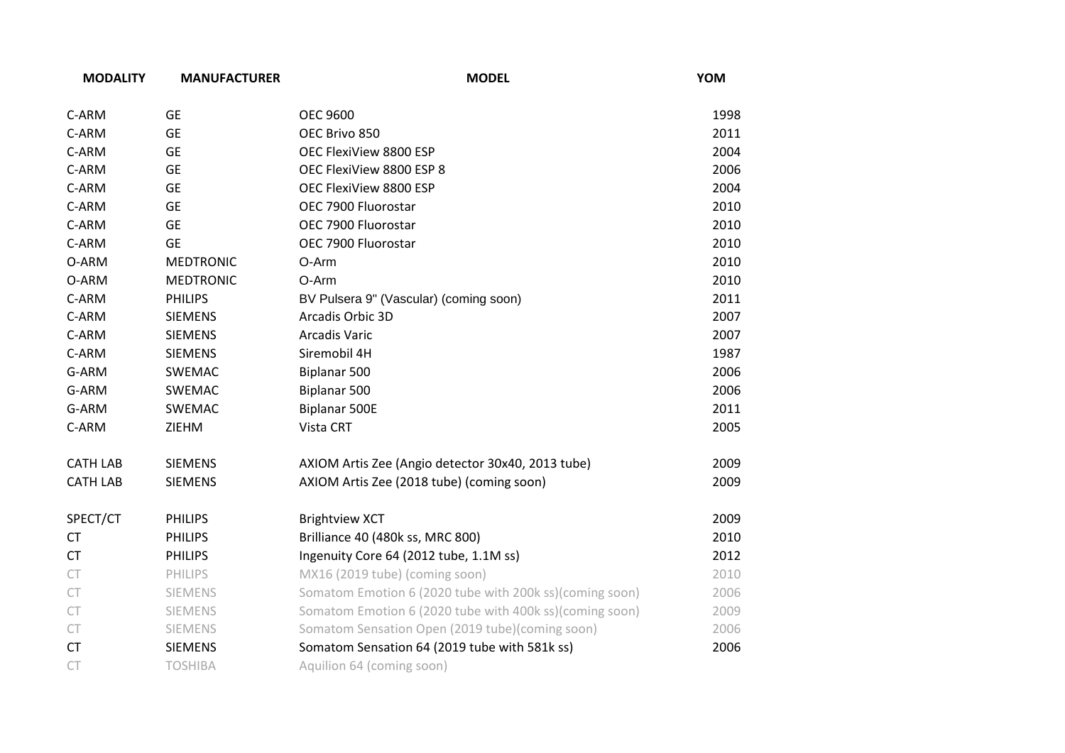| <b>MODALITY</b> | <b>MANUFACTURER</b> | <b>MODEL</b>                                            | YOM  |
|-----------------|---------------------|---------------------------------------------------------|------|
| C-ARM           | <b>GE</b>           | <b>OEC 9600</b>                                         | 1998 |
| C-ARM           | <b>GE</b>           | OEC Brivo 850                                           | 2011 |
| C-ARM           | <b>GE</b>           | OEC FlexiView 8800 ESP                                  | 2004 |
| C-ARM           | <b>GE</b>           | OEC FlexiView 8800 ESP 8                                | 2006 |
| C-ARM           | <b>GE</b>           | OEC FlexiView 8800 ESP                                  | 2004 |
| C-ARM           | <b>GE</b>           | OEC 7900 Fluorostar                                     | 2010 |
| C-ARM           | <b>GE</b>           | OEC 7900 Fluorostar                                     | 2010 |
| C-ARM           | <b>GE</b>           | OEC 7900 Fluorostar                                     | 2010 |
| O-ARM           | <b>MEDTRONIC</b>    | O-Arm                                                   | 2010 |
| O-ARM           | <b>MEDTRONIC</b>    | O-Arm                                                   | 2010 |
| C-ARM           | <b>PHILIPS</b>      | BV Pulsera 9" (Vascular) (coming soon)                  | 2011 |
| C-ARM           | <b>SIEMENS</b>      | Arcadis Orbic 3D                                        | 2007 |
| C-ARM           | <b>SIEMENS</b>      | <b>Arcadis Varic</b>                                    | 2007 |
| C-ARM           | <b>SIEMENS</b>      | Siremobil 4H                                            | 1987 |
| G-ARM           | SWEMAC              | Biplanar 500                                            | 2006 |
| G-ARM           | SWEMAC              | Biplanar 500                                            | 2006 |
| G-ARM           | <b>SWEMAC</b>       | <b>Biplanar 500E</b>                                    | 2011 |
| C-ARM           | ZIEHM               | Vista CRT                                               | 2005 |
| <b>CATH LAB</b> | <b>SIEMENS</b>      | AXIOM Artis Zee (Angio detector 30x40, 2013 tube)       | 2009 |
| <b>CATH LAB</b> | <b>SIEMENS</b>      | AXIOM Artis Zee (2018 tube) (coming soon)               | 2009 |
| SPECT/CT        | <b>PHILIPS</b>      | <b>Brightview XCT</b>                                   | 2009 |
| CT              | <b>PHILIPS</b>      | Brilliance 40 (480k ss, MRC 800)                        | 2010 |
| <b>CT</b>       | <b>PHILIPS</b>      | Ingenuity Core 64 (2012 tube, 1.1M ss)                  | 2012 |
| CT              | <b>PHILIPS</b>      | MX16 (2019 tube) (coming soon)                          | 2010 |
| CT              | <b>SIEMENS</b>      | Somatom Emotion 6 (2020 tube with 200k ss)(coming soon) | 2006 |
| CT              | SIEMENS             | Somatom Emotion 6 (2020 tube with 400k ss)(coming soon) | 2009 |
| ${\sf CT}$      | <b>SIEMENS</b>      | Somatom Sensation Open (2019 tube)(coming soon)         | 2006 |
| <b>CT</b>       | <b>SIEMENS</b>      | Somatom Sensation 64 (2019 tube with 581k ss)           | 2006 |
| CT              | <b>TOSHIBA</b>      | Aquilion 64 (coming soon)                               |      |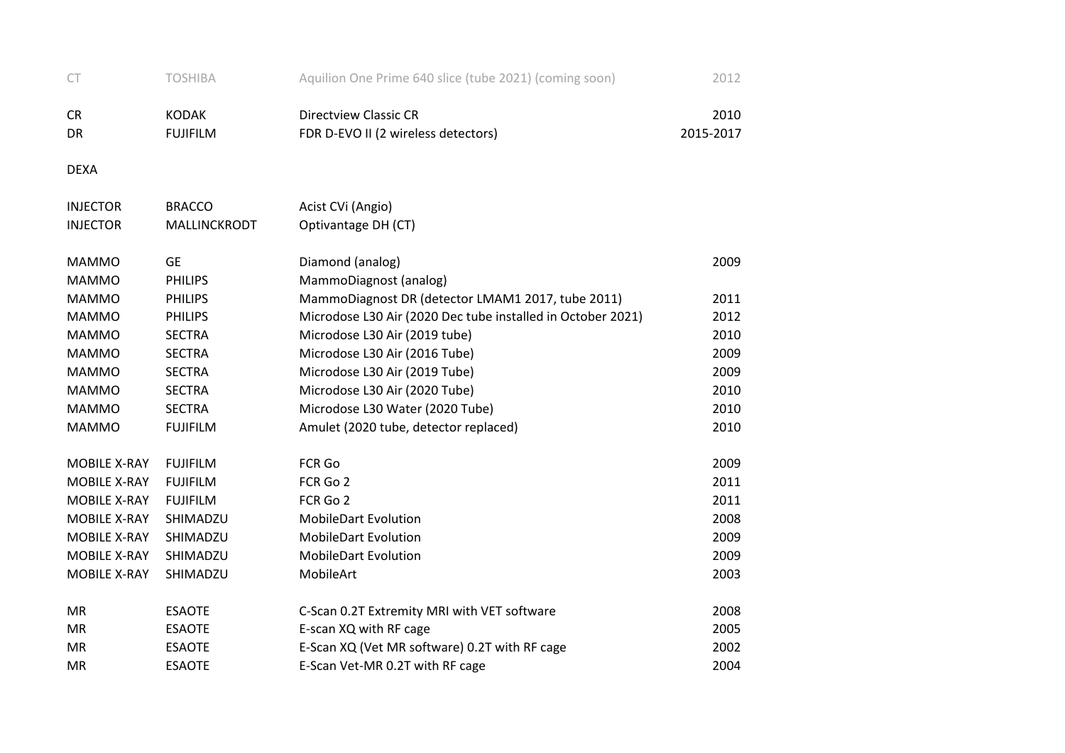| <b>CT</b>           | <b>TOSHIBA</b>  | Aquilion One Prime 640 slice (tube 2021) (coming soon)      | 2012      |
|---------------------|-----------------|-------------------------------------------------------------|-----------|
| CR                  | <b>KODAK</b>    | <b>Directview Classic CR</b>                                | 2010      |
| DR                  | <b>FUJIFILM</b> | FDR D-EVO II (2 wireless detectors)                         | 2015-2017 |
| <b>DEXA</b>         |                 |                                                             |           |
| <b>INJECTOR</b>     | <b>BRACCO</b>   | Acist CVi (Angio)                                           |           |
| <b>INJECTOR</b>     | MALLINCKRODT    | Optivantage DH (CT)                                         |           |
| <b>MAMMO</b>        | <b>GE</b>       | Diamond (analog)                                            | 2009      |
| <b>MAMMO</b>        | <b>PHILIPS</b>  | MammoDiagnost (analog)                                      |           |
| <b>MAMMO</b>        | <b>PHILIPS</b>  | MammoDiagnost DR (detector LMAM1 2017, tube 2011)           | 2011      |
| <b>MAMMO</b>        | <b>PHILIPS</b>  | Microdose L30 Air (2020 Dec tube installed in October 2021) | 2012      |
| <b>MAMMO</b>        | <b>SECTRA</b>   | Microdose L30 Air (2019 tube)                               | 2010      |
| <b>MAMMO</b>        | <b>SECTRA</b>   | Microdose L30 Air (2016 Tube)                               | 2009      |
| <b>MAMMO</b>        | <b>SECTRA</b>   | Microdose L30 Air (2019 Tube)                               | 2009      |
| <b>MAMMO</b>        | <b>SECTRA</b>   | Microdose L30 Air (2020 Tube)                               | 2010      |
| <b>MAMMO</b>        | <b>SECTRA</b>   | Microdose L30 Water (2020 Tube)                             | 2010      |
| <b>MAMMO</b>        | <b>FUJIFILM</b> | Amulet (2020 tube, detector replaced)                       | 2010      |
| <b>MOBILE X-RAY</b> | <b>FUJIFILM</b> | FCR Go                                                      | 2009      |
| <b>MOBILE X-RAY</b> | <b>FUJIFILM</b> | FCR Go 2                                                    | 2011      |
| <b>MOBILE X-RAY</b> | <b>FUJIFILM</b> | FCR Go 2                                                    | 2011      |
| MOBILE X-RAY        | SHIMADZU        | <b>MobileDart Evolution</b>                                 | 2008      |
| <b>MOBILE X-RAY</b> | SHIMADZU        | <b>MobileDart Evolution</b>                                 | 2009      |
| <b>MOBILE X-RAY</b> | SHIMADZU        | <b>MobileDart Evolution</b>                                 | 2009      |
| MOBILE X-RAY        | SHIMADZU        | MobileArt                                                   | 2003      |
| <b>MR</b>           | <b>ESAOTE</b>   | C-Scan 0.2T Extremity MRI with VET software                 | 2008      |
| <b>MR</b>           | <b>ESAOTE</b>   | E-scan XQ with RF cage                                      | 2005      |
| <b>MR</b>           | <b>ESAOTE</b>   | E-Scan XQ (Vet MR software) 0.2T with RF cage               | 2002      |
| <b>MR</b>           | <b>ESAOTE</b>   | E-Scan Vet-MR 0.2T with RF cage                             | 2004      |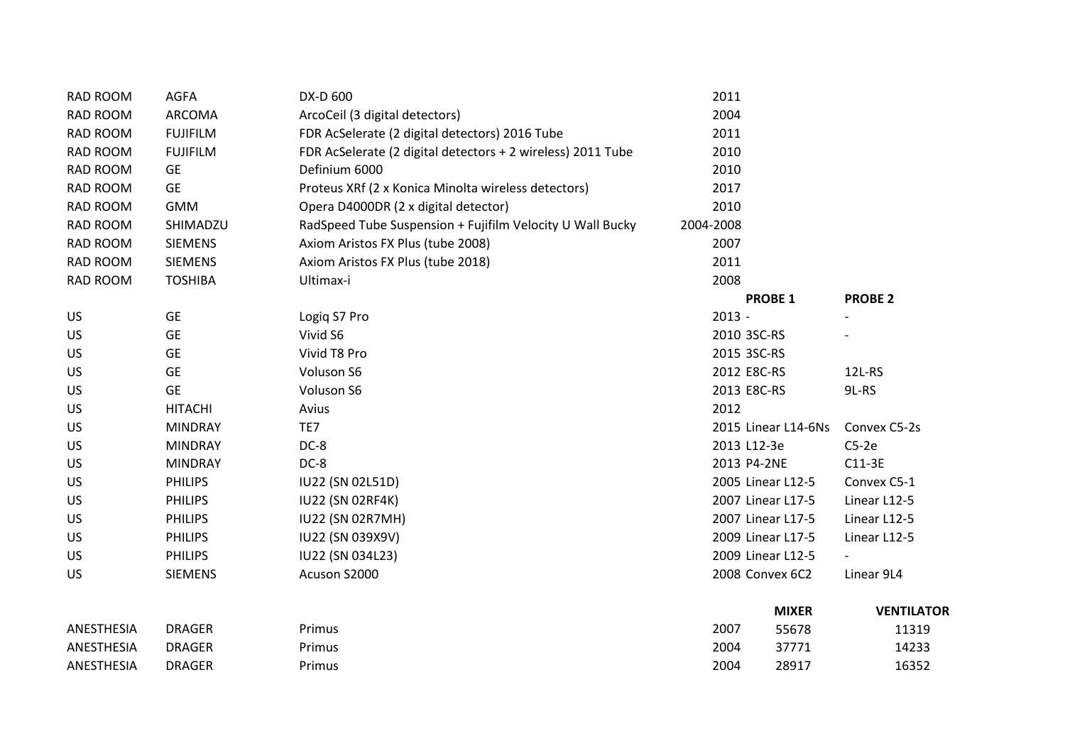| RAD ROOM        | <b>AGFA</b>     | DX-D 600                                                    | 2011      |                     |                   |
|-----------------|-----------------|-------------------------------------------------------------|-----------|---------------------|-------------------|
| RAD ROOM        | ARCOMA          | ArcoCeil (3 digital detectors)                              | 2004      |                     |                   |
| RAD ROOM        | <b>FUJIFILM</b> | FDR AcSelerate (2 digital detectors) 2016 Tube              | 2011      |                     |                   |
| RAD ROOM        | <b>FUJIFILM</b> | FDR AcSelerate (2 digital detectors + 2 wireless) 2011 Tube | 2010      |                     |                   |
| RAD ROOM        | <b>GE</b>       | Definium 6000                                               | 2010      |                     |                   |
| RAD ROOM        | <b>GE</b>       | Proteus XRf (2 x Konica Minolta wireless detectors)         | 2017      |                     |                   |
| <b>RAD ROOM</b> | <b>GMM</b>      | Opera D4000DR (2 x digital detector)                        | 2010      |                     |                   |
| RAD ROOM        | SHIMADZU        | RadSpeed Tube Suspension + Fujifilm Velocity U Wall Bucky   | 2004-2008 |                     |                   |
| RAD ROOM        | <b>SIEMENS</b>  | Axiom Aristos FX Plus (tube 2008)                           | 2007      |                     |                   |
| RAD ROOM        | <b>SIEMENS</b>  | Axiom Aristos FX Plus (tube 2018)                           | 2011      |                     |                   |
| RAD ROOM        | <b>TOSHIBA</b>  | Ultimax-i                                                   | 2008      |                     |                   |
|                 |                 |                                                             |           | <b>PROBE 1</b>      | <b>PROBE 2</b>    |
| <b>US</b>       | <b>GE</b>       | Logiq S7 Pro                                                | $2013 -$  |                     |                   |
| US              | <b>GE</b>       | Vivid S6                                                    |           | 2010 3SC-RS         |                   |
| US              | <b>GE</b>       | Vivid T8 Pro                                                |           | 2015 3SC-RS         |                   |
| US              | <b>GE</b>       | Voluson S6                                                  |           | 2012 E8C-RS         | 12L-RS            |
| US              | <b>GE</b>       | Voluson S6                                                  |           | 2013 E8C-RS         | 9L-RS             |
| US              | <b>HITACHI</b>  | Avius                                                       | 2012      |                     |                   |
| US              | <b>MINDRAY</b>  | TE7                                                         |           | 2015 Linear L14-6Ns | Convex C5-2s      |
| US              | <b>MINDRAY</b>  | DC-8                                                        |           | 2013 L12-3e         | $C5-2e$           |
| US              | <b>MINDRAY</b>  | DC-8                                                        |           | 2013 P4-2NE         | $C11-3E$          |
| US              | <b>PHILIPS</b>  | IU22 (SN 02L51D)                                            |           | 2005 Linear L12-5   | Convex C5-1       |
| US              | <b>PHILIPS</b>  | <b>IU22 (SN 02RF4K)</b>                                     |           | 2007 Linear L17-5   | Linear L12-5      |
| US              | <b>PHILIPS</b>  | <b>IU22 (SN 02R7MH)</b>                                     |           | 2007 Linear L17-5   | Linear L12-5      |
| US              | <b>PHILIPS</b>  | IU22 (SN 039X9V)                                            |           | 2009 Linear L17-5   | Linear L12-5      |
| US              | <b>PHILIPS</b>  | IU22 (SN 034L23)                                            |           | 2009 Linear L12-5   |                   |
| US              | <b>SIEMENS</b>  | Acuson S2000                                                |           | 2008 Convex 6C2     | Linear 9L4        |
|                 |                 |                                                             |           | <b>MIXER</b>        | <b>VENTILATOR</b> |
| ANESTHESIA      | <b>DRAGER</b>   | Primus                                                      | 2007      | 55678               | 11319             |
| ANESTHESIA      | <b>DRAGER</b>   | Primus                                                      | 2004      | 37771               | 14233             |
| ANESTHESIA      | <b>DRAGER</b>   | Primus                                                      | 2004      | 28917               | 16352             |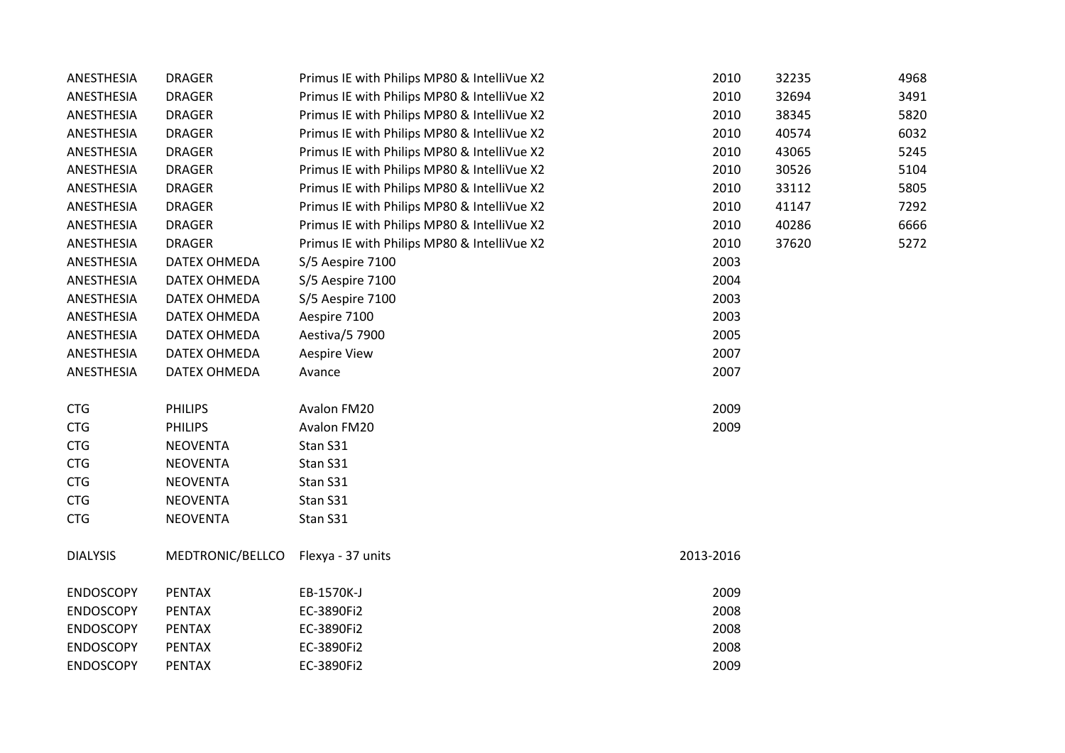| ANESTHESIA       | <b>DRAGER</b>    | Primus IE with Philips MP80 & IntelliVue X2 | 2010      | 32235 | 4968 |
|------------------|------------------|---------------------------------------------|-----------|-------|------|
| ANESTHESIA       | <b>DRAGER</b>    | Primus IE with Philips MP80 & IntelliVue X2 | 2010      | 32694 | 3491 |
| ANESTHESIA       | <b>DRAGER</b>    | Primus IE with Philips MP80 & IntelliVue X2 | 2010      | 38345 | 5820 |
| ANESTHESIA       | <b>DRAGER</b>    | Primus IE with Philips MP80 & IntelliVue X2 | 2010      | 40574 | 6032 |
| ANESTHESIA       | <b>DRAGER</b>    | Primus IE with Philips MP80 & IntelliVue X2 | 2010      | 43065 | 5245 |
| ANESTHESIA       | <b>DRAGER</b>    | Primus IE with Philips MP80 & IntelliVue X2 | 2010      | 30526 | 5104 |
| ANESTHESIA       | <b>DRAGER</b>    | Primus IE with Philips MP80 & IntelliVue X2 | 2010      | 33112 | 5805 |
| ANESTHESIA       | <b>DRAGER</b>    | Primus IE with Philips MP80 & IntelliVue X2 | 2010      | 41147 | 7292 |
| ANESTHESIA       | <b>DRAGER</b>    | Primus IE with Philips MP80 & IntelliVue X2 | 2010      | 40286 | 6666 |
| ANESTHESIA       | <b>DRAGER</b>    | Primus IE with Philips MP80 & IntelliVue X2 | 2010      | 37620 | 5272 |
| ANESTHESIA       | DATEX OHMEDA     | S/5 Aespire 7100                            | 2003      |       |      |
| ANESTHESIA       | DATEX OHMEDA     | S/5 Aespire 7100                            | 2004      |       |      |
| ANESTHESIA       | DATEX OHMEDA     | S/5 Aespire 7100                            | 2003      |       |      |
| ANESTHESIA       | DATEX OHMEDA     | Aespire 7100                                | 2003      |       |      |
| ANESTHESIA       | DATEX OHMEDA     | Aestiva/5 7900                              | 2005      |       |      |
| ANESTHESIA       | DATEX OHMEDA     | <b>Aespire View</b>                         | 2007      |       |      |
| ANESTHESIA       | DATEX OHMEDA     | Avance                                      | 2007      |       |      |
| <b>CTG</b>       | <b>PHILIPS</b>   | Avalon FM20                                 | 2009      |       |      |
| <b>CTG</b>       | <b>PHILIPS</b>   | Avalon FM20                                 | 2009      |       |      |
| <b>CTG</b>       | <b>NEOVENTA</b>  | Stan S31                                    |           |       |      |
| <b>CTG</b>       | <b>NEOVENTA</b>  | Stan S31                                    |           |       |      |
| <b>CTG</b>       | <b>NEOVENTA</b>  | Stan S31                                    |           |       |      |
| <b>CTG</b>       | <b>NEOVENTA</b>  | Stan S31                                    |           |       |      |
| <b>CTG</b>       | <b>NEOVENTA</b>  | Stan S31                                    |           |       |      |
| <b>DIALYSIS</b>  | MEDTRONIC/BELLCO | Flexya - 37 units                           | 2013-2016 |       |      |
| <b>ENDOSCOPY</b> | <b>PENTAX</b>    | EB-1570K-J                                  | 2009      |       |      |
| <b>ENDOSCOPY</b> | <b>PENTAX</b>    | EC-3890Fi2                                  | 2008      |       |      |
| <b>ENDOSCOPY</b> | <b>PENTAX</b>    | EC-3890Fi2                                  | 2008      |       |      |
| <b>ENDOSCOPY</b> | <b>PENTAX</b>    | EC-3890Fi2                                  | 2008      |       |      |
| <b>ENDOSCOPY</b> | <b>PENTAX</b>    | EC-3890Fi2                                  | 2009      |       |      |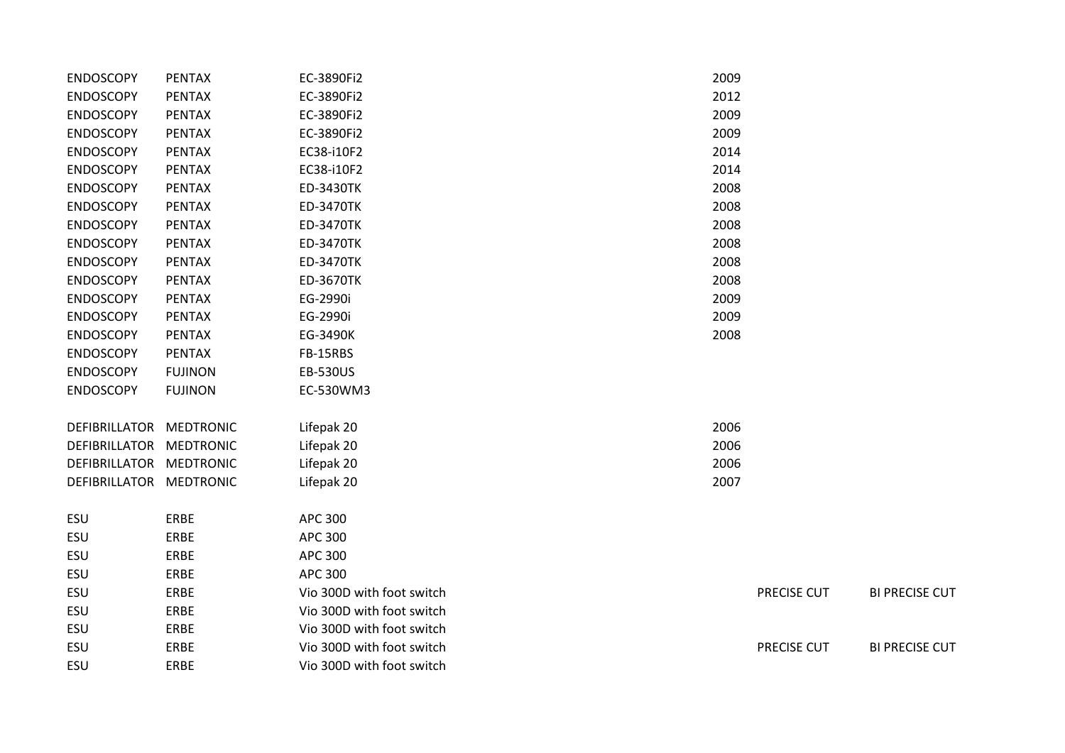| <b>ENDOSCOPY</b>        | <b>PENTAX</b>    | EC-3890Fi2                | 2009 |                    |                       |
|-------------------------|------------------|---------------------------|------|--------------------|-----------------------|
| <b>ENDOSCOPY</b>        | <b>PENTAX</b>    | EC-3890Fi2                | 2012 |                    |                       |
| <b>ENDOSCOPY</b>        | <b>PENTAX</b>    | EC-3890Fi2                | 2009 |                    |                       |
| <b>ENDOSCOPY</b>        | <b>PENTAX</b>    | EC-3890Fi2                | 2009 |                    |                       |
| <b>ENDOSCOPY</b>        | <b>PENTAX</b>    | EC38-i10F2                | 2014 |                    |                       |
| <b>ENDOSCOPY</b>        | <b>PENTAX</b>    | EC38-i10F2                | 2014 |                    |                       |
| <b>ENDOSCOPY</b>        | <b>PENTAX</b>    | <b>ED-3430TK</b>          | 2008 |                    |                       |
| <b>ENDOSCOPY</b>        | <b>PENTAX</b>    | <b>ED-3470TK</b>          | 2008 |                    |                       |
| <b>ENDOSCOPY</b>        | <b>PENTAX</b>    | ED-3470TK                 | 2008 |                    |                       |
| <b>ENDOSCOPY</b>        | <b>PENTAX</b>    | ED-3470TK                 | 2008 |                    |                       |
| <b>ENDOSCOPY</b>        | <b>PENTAX</b>    | <b>ED-3470TK</b>          | 2008 |                    |                       |
| <b>ENDOSCOPY</b>        | <b>PENTAX</b>    | <b>ED-3670TK</b>          | 2008 |                    |                       |
| <b>ENDOSCOPY</b>        | <b>PENTAX</b>    | EG-2990i                  | 2009 |                    |                       |
| <b>ENDOSCOPY</b>        | <b>PENTAX</b>    | EG-2990i                  | 2009 |                    |                       |
| <b>ENDOSCOPY</b>        | <b>PENTAX</b>    | EG-3490K                  | 2008 |                    |                       |
| <b>ENDOSCOPY</b>        | <b>PENTAX</b>    | FB-15RBS                  |      |                    |                       |
| <b>ENDOSCOPY</b>        | <b>FUJINON</b>   | <b>EB-530US</b>           |      |                    |                       |
| <b>ENDOSCOPY</b>        | <b>FUJINON</b>   | EC-530WM3                 |      |                    |                       |
| DEFIBRILLATOR           | <b>MEDTRONIC</b> | Lifepak 20                | 2006 |                    |                       |
| DEFIBRILLATOR           | <b>MEDTRONIC</b> | Lifepak 20                | 2006 |                    |                       |
| DEFIBRILLATOR MEDTRONIC |                  | Lifepak 20                | 2006 |                    |                       |
| DEFIBRILLATOR MEDTRONIC |                  | Lifepak 20                | 2007 |                    |                       |
| ESU                     | ERBE             | <b>APC 300</b>            |      |                    |                       |
| ESU                     | ERBE             | <b>APC 300</b>            |      |                    |                       |
| ESU                     | ERBE             | <b>APC 300</b>            |      |                    |                       |
| ESU                     | ERBE             | <b>APC 300</b>            |      |                    |                       |
| ESU                     | ERBE             | Vio 300D with foot switch |      | PRECISE CUT        | <b>BI PRECISE CUT</b> |
| ESU                     | ERBE             | Vio 300D with foot switch |      |                    |                       |
| ESU                     | ERBE             | Vio 300D with foot switch |      |                    |                       |
| ESU                     | ERBE             | Vio 300D with foot switch |      | <b>PRECISE CUT</b> | <b>BI PRECISE CUT</b> |
| ESU                     | ERBE             | Vio 300D with foot switch |      |                    |                       |
|                         |                  |                           |      |                    |                       |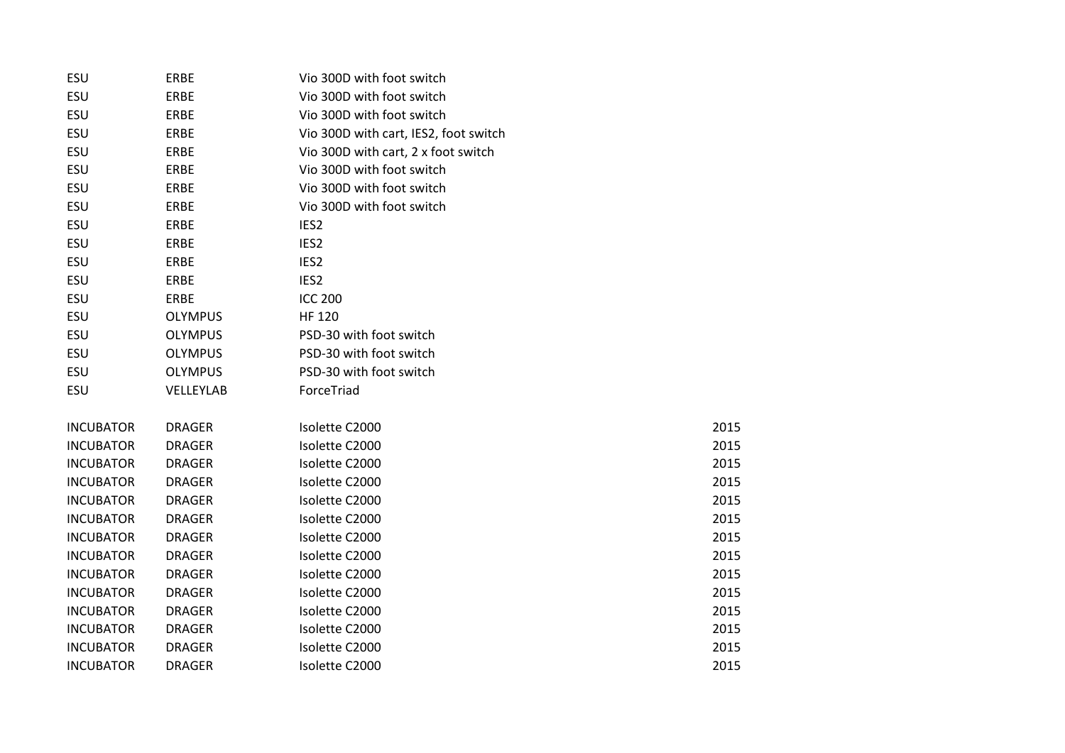| ESU              | ERBE           | Vio 300D with foot switch             |      |
|------------------|----------------|---------------------------------------|------|
| ESU              | ERBE           | Vio 300D with foot switch             |      |
| ESU              | ERBE           | Vio 300D with foot switch             |      |
| ESU              | ERBE           | Vio 300D with cart, IES2, foot switch |      |
| ESU              | ERBE           | Vio 300D with cart, 2 x foot switch   |      |
| ESU              | ERBE           | Vio 300D with foot switch             |      |
| ESU              | ERBE           | Vio 300D with foot switch             |      |
| ESU              | ERBE           | Vio 300D with foot switch             |      |
| ESU              | ERBE           | IES <sub>2</sub>                      |      |
| ESU              | ERBE           | IES <sub>2</sub>                      |      |
| ESU              | ERBE           | IES <sub>2</sub>                      |      |
| ESU              | ERBE           | IES <sub>2</sub>                      |      |
| ESU              | ERBE           | <b>ICC 200</b>                        |      |
| ESU              | <b>OLYMPUS</b> | <b>HF 120</b>                         |      |
| ESU              | <b>OLYMPUS</b> | PSD-30 with foot switch               |      |
| ESU              | <b>OLYMPUS</b> | PSD-30 with foot switch               |      |
| ESU              | <b>OLYMPUS</b> | PSD-30 with foot switch               |      |
| ESU              | VELLEYLAB      | ForceTriad                            |      |
|                  |                |                                       |      |
| <b>INCUBATOR</b> | <b>DRAGER</b>  | Isolette C2000                        | 2015 |
| <b>INCUBATOR</b> | <b>DRAGER</b>  | Isolette C2000                        | 2015 |
| <b>INCUBATOR</b> | <b>DRAGER</b>  | Isolette C2000                        | 2015 |
| <b>INCUBATOR</b> | <b>DRAGER</b>  | Isolette C2000                        | 2015 |
| <b>INCUBATOR</b> | <b>DRAGER</b>  | Isolette C2000                        | 2015 |
| <b>INCUBATOR</b> | <b>DRAGER</b>  | Isolette C2000                        | 2015 |
| <b>INCUBATOR</b> | <b>DRAGER</b>  | Isolette C2000                        | 2015 |
| <b>INCUBATOR</b> | <b>DRAGER</b>  | Isolette C2000                        | 2015 |
| <b>INCUBATOR</b> | <b>DRAGER</b>  | Isolette C2000                        | 2015 |
| <b>INCUBATOR</b> | <b>DRAGER</b>  | Isolette C2000                        | 2015 |
| <b>INCUBATOR</b> | <b>DRAGER</b>  | Isolette C2000                        | 2015 |
| <b>INCUBATOR</b> | <b>DRAGER</b>  | Isolette C2000                        | 2015 |
| <b>INCUBATOR</b> | <b>DRAGER</b>  | Isolette C2000                        | 2015 |
| <b>INCUBATOR</b> | <b>DRAGER</b>  | Isolette C2000                        | 2015 |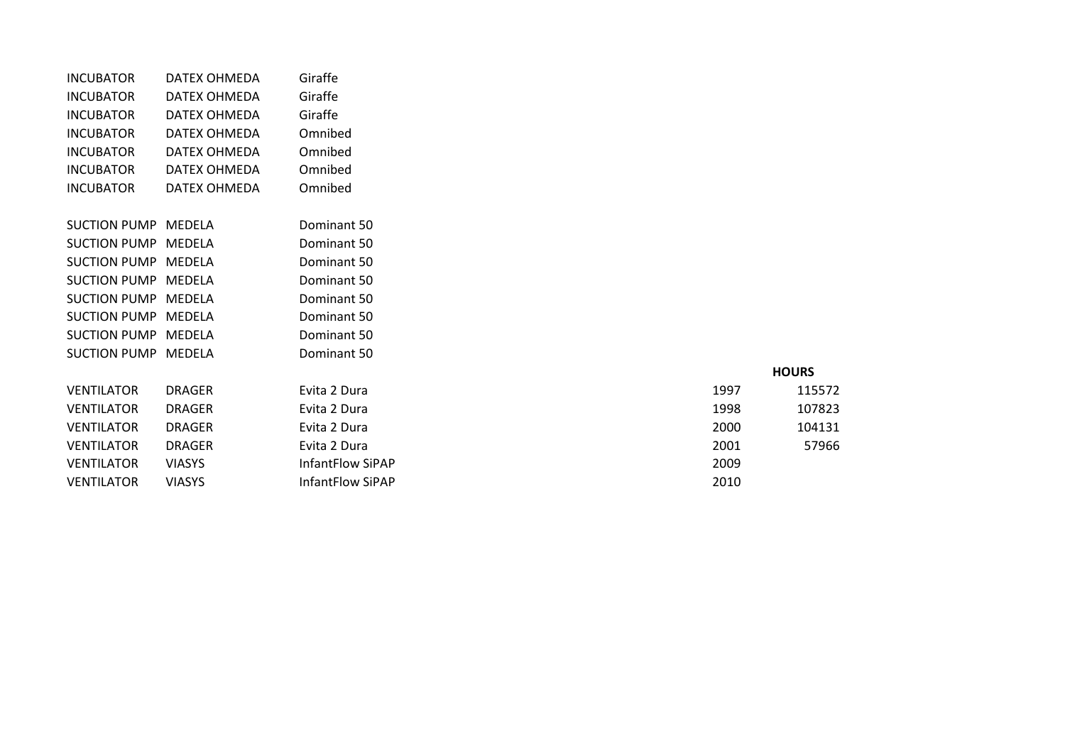| <b>INCUBATOR</b>    | DATEX OHMEDA  | Giraffe          |      |              |
|---------------------|---------------|------------------|------|--------------|
| <b>INCUBATOR</b>    | DATEX OHMEDA  | Giraffe          |      |              |
| <b>INCUBATOR</b>    | DATEX OHMEDA  | Giraffe          |      |              |
| <b>INCUBATOR</b>    | DATEX OHMEDA  | Omnibed          |      |              |
| <b>INCUBATOR</b>    | DATEX OHMEDA  | Omnibed          |      |              |
| <b>INCUBATOR</b>    | DATEX OHMEDA  | Omnibed          |      |              |
| <b>INCUBATOR</b>    | DATEX OHMEDA  | Omnibed          |      |              |
|                     |               |                  |      |              |
| SUCTION PUMP MEDELA |               | Dominant 50      |      |              |
| SUCTION PUMP MEDELA |               | Dominant 50      |      |              |
| <b>SUCTION PUMP</b> | MEDELA        | Dominant 50      |      |              |
| SUCTION PUMP MEDELA |               | Dominant 50      |      |              |
| <b>SUCTION PUMP</b> | MEDELA        | Dominant 50      |      |              |
| SUCTION PUMP MEDELA |               | Dominant 50      |      |              |
| SUCTION PUMP MEDELA |               | Dominant 50      |      |              |
| SUCTION PUMP MEDELA |               | Dominant 50      |      |              |
|                     |               |                  |      | <b>HOURS</b> |
| <b>VENTILATOR</b>   | <b>DRAGER</b> | Evita 2 Dura     | 1997 | 115572       |
| <b>VENTILATOR</b>   | <b>DRAGER</b> | Evita 2 Dura     | 1998 | 107823       |
| <b>VENTILATOR</b>   | <b>DRAGER</b> | Evita 2 Dura     | 2000 | 104131       |
| <b>VENTILATOR</b>   | <b>DRAGER</b> | Evita 2 Dura     | 2001 | 57966        |
| <b>VENTILATOR</b>   | <b>VIASYS</b> | InfantFlow SiPAP | 2009 |              |
| <b>VENTILATOR</b>   | <b>VIASYS</b> | InfantFlow SiPAP | 2010 |              |

|      | <b>HOURS</b> |
|------|--------------|
| 1997 | 115572       |
| 1998 | 107823       |
| 2000 | 104131       |
| 2001 | 57966        |
| 2009 |              |
| 2010 |              |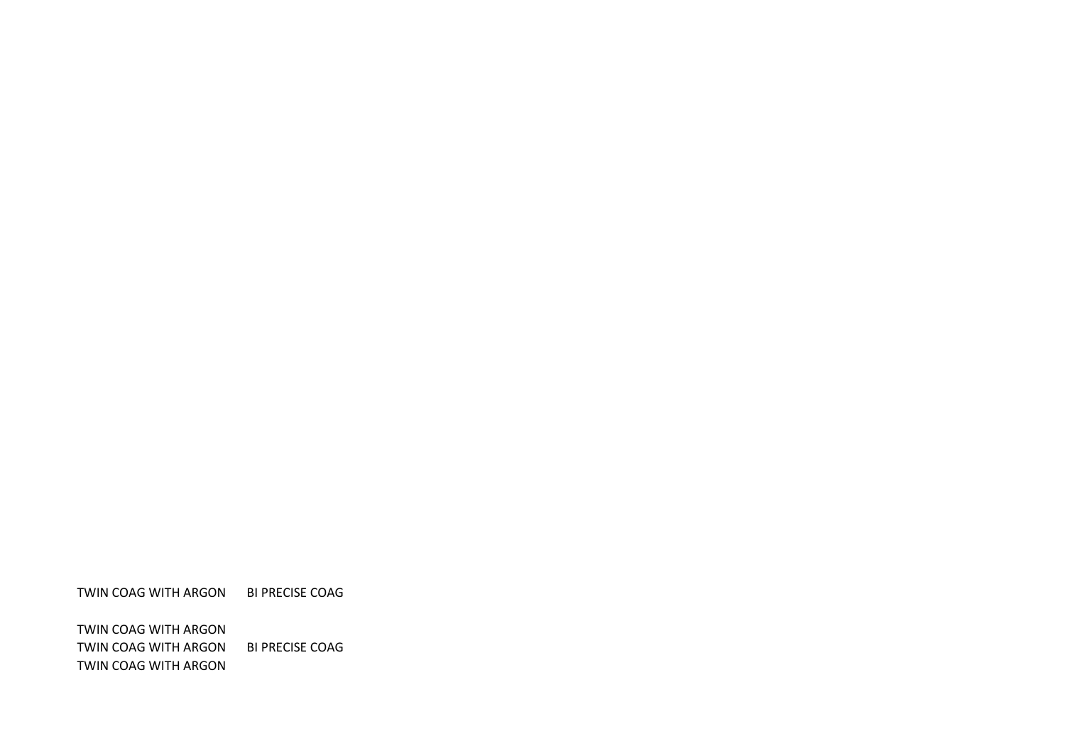TWIN COAG WITH ARGON BI PRECISE COAG

TWIN COAG WITH ARGON TWIN COAG WITH ARGON BI PRECISE COAG TWIN COAG WITH ARGON